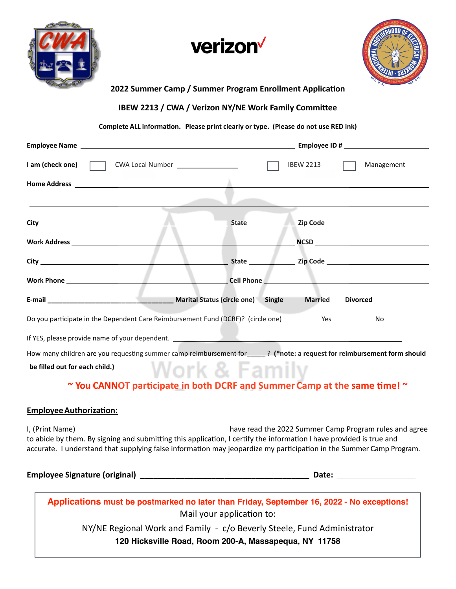





#### **2022 Summer Camp / Summer Program Enrollment Application**

**IBEW 2213 / CWA / Verizon NY/NE Work Family Committee**

#### **Complete ALL information. Please print clearly or type. (Please do not use RED ink)**

| I am (check one)<br>CWA Local Number __________________                                                                 |                   | <b>IBEW 2213</b>                                | Management                                                                                                                                                                                                                                                                                                                                                                                  |  |
|-------------------------------------------------------------------------------------------------------------------------|-------------------|-------------------------------------------------|---------------------------------------------------------------------------------------------------------------------------------------------------------------------------------------------------------------------------------------------------------------------------------------------------------------------------------------------------------------------------------------------|--|
|                                                                                                                         |                   |                                                 |                                                                                                                                                                                                                                                                                                                                                                                             |  |
|                                                                                                                         |                   |                                                 |                                                                                                                                                                                                                                                                                                                                                                                             |  |
|                                                                                                                         |                   |                                                 |                                                                                                                                                                                                                                                                                                                                                                                             |  |
|                                                                                                                         |                   |                                                 | $\begin{picture}(180,10) \put(0,0){\dashbox{0.5}(10,0){ }} \put(15,0){\circle{10}} \put(15,0){\circle{10}} \put(15,0){\circle{10}} \put(15,0){\circle{10}} \put(15,0){\circle{10}} \put(15,0){\circle{10}} \put(15,0){\circle{10}} \put(15,0){\circle{10}} \put(15,0){\circle{10}} \put(15,0){\circle{10}} \put(15,0){\circle{10}} \put(15,0){\circle{10}} \put(15,0){\circle{10}} \put(15$ |  |
| <b>City City City City City City</b>                                                                                    |                   |                                                 |                                                                                                                                                                                                                                                                                                                                                                                             |  |
|                                                                                                                         | <b>Cell Phone</b> | the contract of the contract of the contract of |                                                                                                                                                                                                                                                                                                                                                                                             |  |
| E-mail Contract Contract Contract Marital Status (circle one) Single                                                    |                   | <b>Married</b>                                  | <b>Divorced</b>                                                                                                                                                                                                                                                                                                                                                                             |  |
| Do you participate in the Dependent Care Reimbursement Fund (DCRF)? (circle one)                                        |                   | Yes                                             | No                                                                                                                                                                                                                                                                                                                                                                                          |  |
| If YES, please provide name of your dependent. _________________________________                                        |                   |                                                 |                                                                                                                                                                                                                                                                                                                                                                                             |  |
| How many children are you requesting summer camp reimbursement for [10] (*note: a request for reimbursement form should |                   |                                                 |                                                                                                                                                                                                                                                                                                                                                                                             |  |
| be filled out for each child.)                                                                                          | Work & Familv     |                                                 |                                                                                                                                                                                                                                                                                                                                                                                             |  |

# **~ You CANNOT participate in both DCRF and Summer Camp at the same time! ~**

### **EmployeeAuthorization:**

I, (Print Name) have read the 2022 Summer Camp Program rules and agree to abide by them. By signing and submitting this application, I certify the information I have provided is true and accurate. I understand that supplying false information may jeopardize my participation in the Summer Camp Program.

| <b>Employee Signature (original)</b> |  |
|--------------------------------------|--|
|--------------------------------------|--|

**Employee Signature (original) \_\_\_\_\_\_\_\_\_\_\_\_\_\_\_\_\_\_\_\_\_\_\_\_\_\_\_\_\_\_\_\_\_\_\_\_\_\_ Date:** 

**Applications must be postmarked no later than Friday, September 16, 2022 - No exceptions!** Mail your application to:

> NY/NE Regional Work and Family - c/o Beverly Steele, Fund Administrator **120 Hicksville Road, Room 200-A, Massapequa, NY 11758**